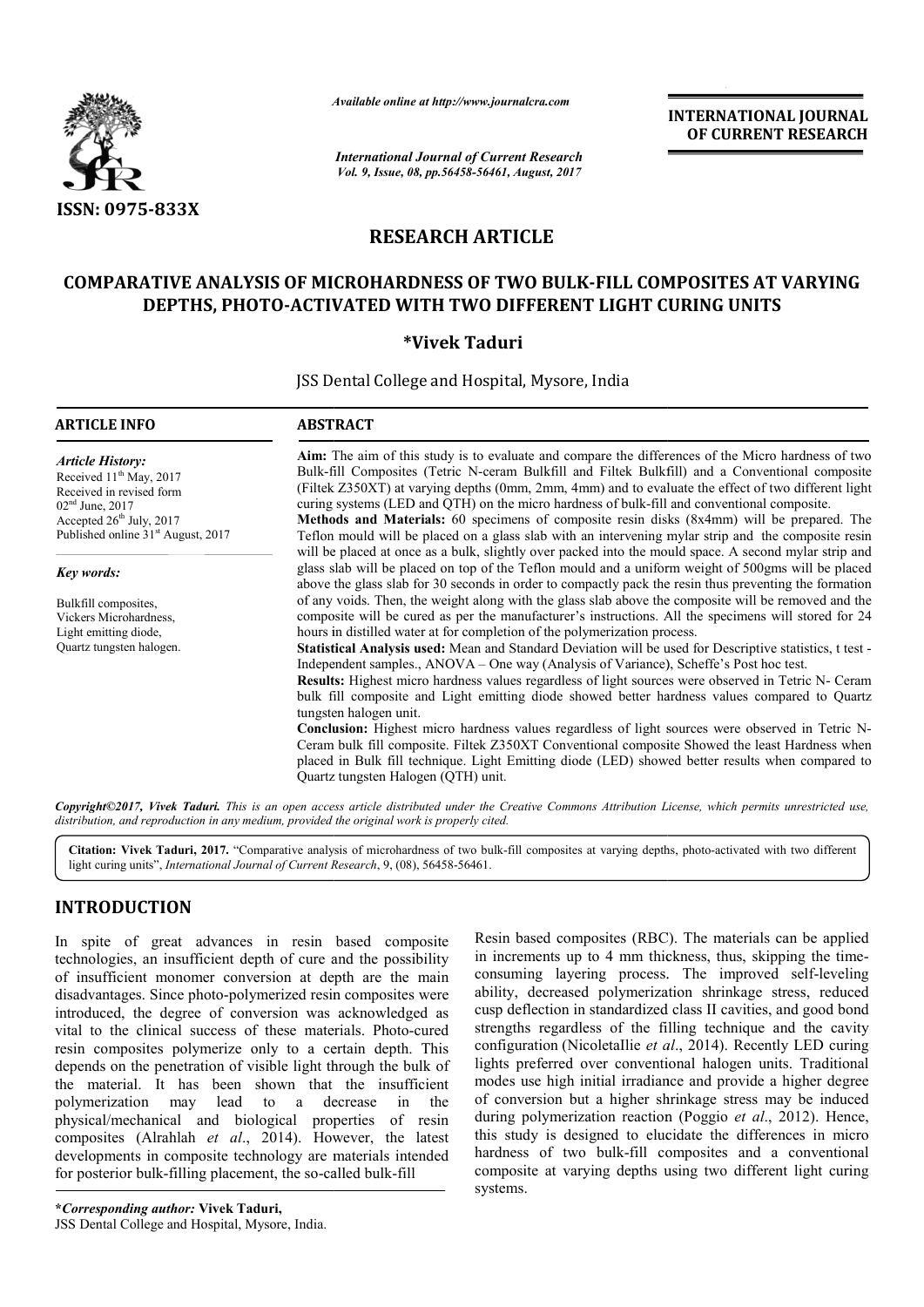

*Available online at http://www.journal http://www.journalcra.com*

# **RESEARCH ARTICLE**

# **COMPARATIVE ANALYSIS OF MICROHARDNESS OF TWO BULK BULK-FILL COMPOSITES AT VARYING FILL COMPOSITES AT VARYING**  DEPTHS, PHOTO-ACTIVATED WITH TWO DIFFERENT LIGHT CURING UNITS<br><sup>\*</sup>Vivek Taduri

|                                                                                                                                                                                                                                                                                                                                                                                                                                                                                                                                                                                                                                                                                                                                                                                                                                                                | лүшише опине иг пир.//www.journatera.com                                                                                                                                                                                                                                                                                                                                                                                                                                                                                                                                                                                                                                                                                  |               | <b>INTERNATIONAL JOURNAL</b><br>OF CURRENT RESEARCH                                                                                                                                                                                                                                                                                                                                                                                                                                                                                                                                                                                                                                                                                                                                                                                                                                                                                                                                                                                                                                                                                                  |  |  |  |
|----------------------------------------------------------------------------------------------------------------------------------------------------------------------------------------------------------------------------------------------------------------------------------------------------------------------------------------------------------------------------------------------------------------------------------------------------------------------------------------------------------------------------------------------------------------------------------------------------------------------------------------------------------------------------------------------------------------------------------------------------------------------------------------------------------------------------------------------------------------|---------------------------------------------------------------------------------------------------------------------------------------------------------------------------------------------------------------------------------------------------------------------------------------------------------------------------------------------------------------------------------------------------------------------------------------------------------------------------------------------------------------------------------------------------------------------------------------------------------------------------------------------------------------------------------------------------------------------------|---------------|------------------------------------------------------------------------------------------------------------------------------------------------------------------------------------------------------------------------------------------------------------------------------------------------------------------------------------------------------------------------------------------------------------------------------------------------------------------------------------------------------------------------------------------------------------------------------------------------------------------------------------------------------------------------------------------------------------------------------------------------------------------------------------------------------------------------------------------------------------------------------------------------------------------------------------------------------------------------------------------------------------------------------------------------------------------------------------------------------------------------------------------------------|--|--|--|
|                                                                                                                                                                                                                                                                                                                                                                                                                                                                                                                                                                                                                                                                                                                                                                                                                                                                | <b>International Journal of Current Research</b><br>Vol. 9, Issue, 08, pp.56458-56461, August, 2017                                                                                                                                                                                                                                                                                                                                                                                                                                                                                                                                                                                                                       |               |                                                                                                                                                                                                                                                                                                                                                                                                                                                                                                                                                                                                                                                                                                                                                                                                                                                                                                                                                                                                                                                                                                                                                      |  |  |  |
| ISSN: 0975-833X                                                                                                                                                                                                                                                                                                                                                                                                                                                                                                                                                                                                                                                                                                                                                                                                                                                |                                                                                                                                                                                                                                                                                                                                                                                                                                                                                                                                                                                                                                                                                                                           |               |                                                                                                                                                                                                                                                                                                                                                                                                                                                                                                                                                                                                                                                                                                                                                                                                                                                                                                                                                                                                                                                                                                                                                      |  |  |  |
|                                                                                                                                                                                                                                                                                                                                                                                                                                                                                                                                                                                                                                                                                                                                                                                                                                                                | <b>RESEARCH ARTICLE</b>                                                                                                                                                                                                                                                                                                                                                                                                                                                                                                                                                                                                                                                                                                   |               |                                                                                                                                                                                                                                                                                                                                                                                                                                                                                                                                                                                                                                                                                                                                                                                                                                                                                                                                                                                                                                                                                                                                                      |  |  |  |
|                                                                                                                                                                                                                                                                                                                                                                                                                                                                                                                                                                                                                                                                                                                                                                                                                                                                | DEPTHS, PHOTO-ACTIVATED WITH TWO DIFFERENT LIGHT CURING UNITS                                                                                                                                                                                                                                                                                                                                                                                                                                                                                                                                                                                                                                                             |               | <b>COMPARATIVE ANALYSIS OF MICROHARDNESS OF TWO BULK-FILL COMPOSITES AT VARYING</b>                                                                                                                                                                                                                                                                                                                                                                                                                                                                                                                                                                                                                                                                                                                                                                                                                                                                                                                                                                                                                                                                  |  |  |  |
|                                                                                                                                                                                                                                                                                                                                                                                                                                                                                                                                                                                                                                                                                                                                                                                                                                                                |                                                                                                                                                                                                                                                                                                                                                                                                                                                                                                                                                                                                                                                                                                                           | *Vivek Taduri |                                                                                                                                                                                                                                                                                                                                                                                                                                                                                                                                                                                                                                                                                                                                                                                                                                                                                                                                                                                                                                                                                                                                                      |  |  |  |
|                                                                                                                                                                                                                                                                                                                                                                                                                                                                                                                                                                                                                                                                                                                                                                                                                                                                | JSS Dental College and Hospital, Mysore, India                                                                                                                                                                                                                                                                                                                                                                                                                                                                                                                                                                                                                                                                            |               |                                                                                                                                                                                                                                                                                                                                                                                                                                                                                                                                                                                                                                                                                                                                                                                                                                                                                                                                                                                                                                                                                                                                                      |  |  |  |
| <b>ARTICLE INFO</b>                                                                                                                                                                                                                                                                                                                                                                                                                                                                                                                                                                                                                                                                                                                                                                                                                                            | <b>ABSTRACT</b>                                                                                                                                                                                                                                                                                                                                                                                                                                                                                                                                                                                                                                                                                                           |               |                                                                                                                                                                                                                                                                                                                                                                                                                                                                                                                                                                                                                                                                                                                                                                                                                                                                                                                                                                                                                                                                                                                                                      |  |  |  |
| <b>Article History:</b><br>Received 11 <sup>th</sup> May, 2017<br>Received in revised form<br>02 <sup>nd</sup> June, 2017<br>Accepted 26 <sup>th</sup> July, 2017<br>Published online 31 <sup>st</sup> August, 2017                                                                                                                                                                                                                                                                                                                                                                                                                                                                                                                                                                                                                                            | Aim: The aim of this study is to evaluate and compare the differences of the Micro hardness of two<br>Bulk-fill Composites (Tetric N-ceram Bulkfill and Filtek Bulkfill) and a Conventional composite<br>(Filtek Z350XT) at varying depths (0mm, 2mm, 4mm) and to evaluate the effect of two different light<br>curing systems (LED and QTH) on the micro hardness of bulk-fill and conventional composite.<br>Methods and Materials: 60 specimens of composite resin disks (8x4mm) will be prepared. The<br>Teflon mould will be placed on a glass slab with an intervening mylar strip and the composite resin<br>will be placed at once as a bulk, slightly over packed into the mould space. A second mylar strip and |               |                                                                                                                                                                                                                                                                                                                                                                                                                                                                                                                                                                                                                                                                                                                                                                                                                                                                                                                                                                                                                                                                                                                                                      |  |  |  |
| Key words:<br>Bulkfill composites,<br>Vickers Microhardness,<br>Light emitting diode,<br>Quartz tungsten halogen.                                                                                                                                                                                                                                                                                                                                                                                                                                                                                                                                                                                                                                                                                                                                              | hours in distilled water at for completion of the polymerization process.<br>tungsten halogen unit.<br>Quartz tungsten Halogen (QTH) unit.                                                                                                                                                                                                                                                                                                                                                                                                                                                                                                                                                                                |               | glass slab will be placed on top of the Teflon mould and a uniform weight of 500gms will be placed<br>above the glass slab for 30 seconds in order to compactly pack the resin thus preventing the formation<br>of any voids. Then, the weight along with the glass slab above the composite will be removed and the<br>composite will be cured as per the manufacturer's instructions. All the specimens will stored for 24<br>Statistical Analysis used: Mean and Standard Deviation will be used for Descriptive statistics, t test -<br>Independent samples., ANOVA – One way (Analysis of Variance), Scheffe's Post hoc test.<br>Results: Highest micro hardness values regardless of light sources were observed in Tetric N- Ceram<br>bulk fill composite and Light emitting diode showed better hardness values compared to Quartz<br>Conclusion: Highest micro hardness values regardless of light sources were observed in Tetric N-<br>Ceram bulk fill composite. Filtek Z350XT Conventional composite Showed the least Hardness when<br>placed in Bulk fill technique. Light Emitting diode (LED) showed better results when compared to |  |  |  |
| distribution, and reproduction in any medium, provided the original work is properly cited.                                                                                                                                                                                                                                                                                                                                                                                                                                                                                                                                                                                                                                                                                                                                                                    |                                                                                                                                                                                                                                                                                                                                                                                                                                                                                                                                                                                                                                                                                                                           |               | Copyright©2017, Vivek Taduri. This is an open access article distributed under the Creative Commons Attribution License, which permits unrestricted use,                                                                                                                                                                                                                                                                                                                                                                                                                                                                                                                                                                                                                                                                                                                                                                                                                                                                                                                                                                                             |  |  |  |
|                                                                                                                                                                                                                                                                                                                                                                                                                                                                                                                                                                                                                                                                                                                                                                                                                                                                | light curing units", International Journal of Current Research, 9, (08), 56458-56461.                                                                                                                                                                                                                                                                                                                                                                                                                                                                                                                                                                                                                                     |               | Citation: Vivek Taduri, 2017. "Comparative analysis of microhardness of two bulk-fill composites at varying depths, photo-activated with two different                                                                                                                                                                                                                                                                                                                                                                                                                                                                                                                                                                                                                                                                                                                                                                                                                                                                                                                                                                                               |  |  |  |
| <b>INTRODUCTION</b>                                                                                                                                                                                                                                                                                                                                                                                                                                                                                                                                                                                                                                                                                                                                                                                                                                            |                                                                                                                                                                                                                                                                                                                                                                                                                                                                                                                                                                                                                                                                                                                           |               |                                                                                                                                                                                                                                                                                                                                                                                                                                                                                                                                                                                                                                                                                                                                                                                                                                                                                                                                                                                                                                                                                                                                                      |  |  |  |
| In spite of great advances in resin based composite<br>technologies, an insufficient depth of cure and the possibility<br>of insufficient monomer conversion at depth are the main<br>disadvantages. Since photo-polymerized resin composites were<br>introduced, the degree of conversion was acknowledged as<br>vital to the clinical success of these materials. Photo-cured<br>resin composites polymerize only to a certain depth. This<br>depends on the penetration of visible light through the bulk of<br>the material. It has been shown that the insufficient<br>polymerization<br>may<br>lead<br>physical/mechanical and biological properties of resin<br>composites (Alrahlah et al., 2014). However, the latest<br>developments in composite technology are materials intended<br>for posterior bulk-filling placement, the so-called bulk-fill | decrease<br>in<br>to<br>the<br>a a                                                                                                                                                                                                                                                                                                                                                                                                                                                                                                                                                                                                                                                                                        |               | Resin based composites (RBC). The materials can be applied<br>in increments up to 4 mm thickness, thus, skipping the time-<br>consuming layering process. The improved self-leveling<br>ability, decreased polymerization shrinkage stress, reduced<br>cusp deflection in standardized class II cavities, and good bond<br>strengths regardless of the filling technique and the cavity<br>configuration (Nicoletallie et al., 2014). Recently LED curing<br>lights preferred over conventional halogen units. Traditional<br>modes use high initial irradiance and provide a higher degree<br>of conversion but a higher shrinkage stress may be induced<br>during polymerization reaction (Poggio et al., 2012). Hence,<br>this study is designed to elucidate the differences in micro<br>hardness of two bulk-fill composites and a conventional<br>composite at varying depths using two different light curing                                                                                                                                                                                                                                 |  |  |  |

# **INTRODUCTION**

Resin based composites (RBC). The materials can be applied Resin based composites (RBC). The materials can be applied in increments up to 4 mm thickness, thus, skipping the timeconsuming layering process. The improved self-leveling ability, decreased polymerization shrinkage stress, reduced ability, decreased polymerization shrinkage stress, reduced cusp deflection in standardized class II cavities, and good bond strengths regardless of the filling technique and the cavity configuration (NicoletaIlie et al., 2014). Recently LED curing lights preferred over conventional halogen units. Traditional modes use high initial irradiance and provide a higher degree of conversion but a higher shrinkage stress may be induced during polymerization reaction (Poggio *et al*., 2012). Hence, this study is designed to elucidate the differences in micro hardness of two bulk-fill composites and a conventional composite at varying depths using two different light curing systems.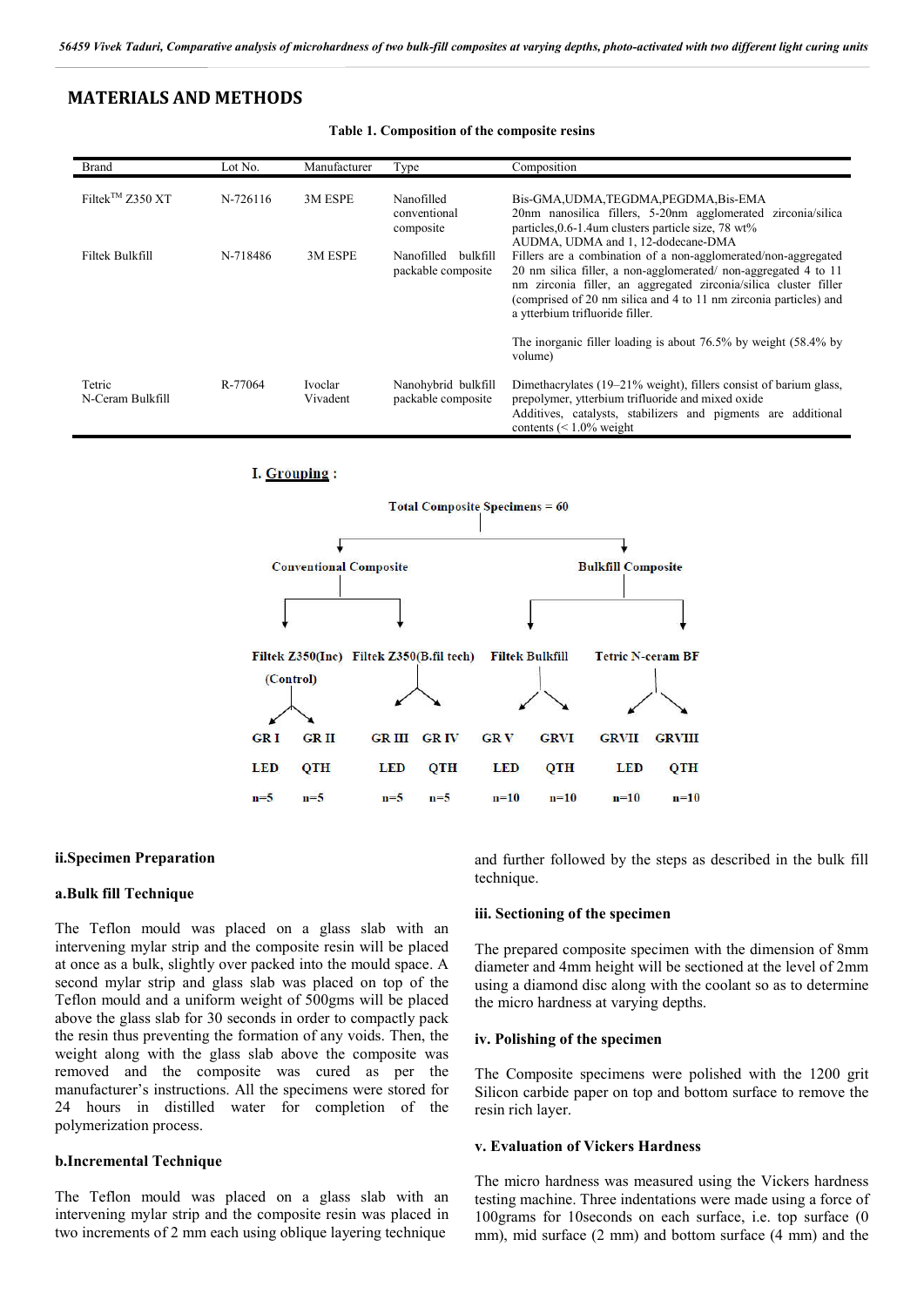# **MATERIALS AND METHODS**

| <b>Brand</b>                 | Lot No.  | Manufacturer        | Type                                         | Composition                                                                                                                                                                                                                                                                                                  |
|------------------------------|----------|---------------------|----------------------------------------------|--------------------------------------------------------------------------------------------------------------------------------------------------------------------------------------------------------------------------------------------------------------------------------------------------------------|
| Filtek <sup>TM</sup> Z350 XT | N-726116 | 3M ESPE             | Nanofilled<br>conventional<br>composite      | Bis-GMA, UDMA, TEGDMA, PEGDMA, Bis-EMA<br>20nm nanosilica fillers, 5-20nm agglomerated zirconia/silica<br>particles, 0.6-1.4um clusters particle size, 78 wt%<br>AUDMA, UDMA and 1, 12-dodecane-DMA                                                                                                          |
| Filtek Bulkfill              | N-718486 | 3M ESPE             | Nanofilled<br>bulkfill<br>packable composite | Fillers are a combination of a non-agglomerated/non-aggregated<br>20 nm silica filler, a non-agglomerated/non-aggregated 4 to 11<br>nm zirconia filler, an aggregated zirconia/silica cluster filler<br>(comprised of 20 nm silica and 4 to 11 nm zirconia particles) and<br>a ytterbium trifluoride filler. |
|                              |          |                     |                                              | The inorganic filler loading is about $76.5\%$ by weight $(58.4\%$ by<br>volume)                                                                                                                                                                                                                             |
| Tetric<br>N-Ceram Bulkfill   | R-77064  | Ivoclar<br>Vivadent | Nanohybrid bulkfill<br>packable composite    | Dimethacrylates (19–21% weight), fillers consist of barium glass,<br>prepolymer, ytterbium trifluoride and mixed oxide<br>Additives, catalysts, stabilizers and pigments are additional<br>contents $(< 1.0\%$ weight                                                                                        |

**Table 1. Composition of the composite resins**

## I. Grouping:



#### **ii.Specimen Preparation**

#### **a.Bulk fill Technique**

The Teflon mould was placed on a glass slab with an intervening mylar strip and the composite resin will be placed at once as a bulk, slightly over packed into the mould space. A second mylar strip and glass slab was placed on top of the Teflon mould and a uniform weight of 500gms will be placed above the glass slab for 30 seconds in order to compactly pack the resin thus preventing the formation of any voids. Then, the weight along with the glass slab above the composite was removed and the composite was cured as per the manufacturer's instructions. All the specimens were stored for 24 hours in distilled water for completion of the polymerization process.

#### **b.Incremental Technique**

The Teflon mould was placed on a glass slab with an intervening mylar strip and the composite resin was placed in two increments of 2 mm each using oblique layering technique

and further followed by the steps as described in the bulk fill technique.

#### **iii. Sectioning of the specimen**

The prepared composite specimen with the dimension of 8mm diameter and 4mm height will be sectioned at the level of 2mm using a diamond disc along with the coolant so as to determine the micro hardness at varying depths.

#### **iv. Polishing of the specimen**

The Composite specimens were polished with the 1200 grit Silicon carbide paper on top and bottom surface to remove the resin rich layer.

#### **v. Evaluation of Vickers Hardness**

The micro hardness was measured using the Vickers hardness testing machine. Three indentations were made using a force of 100grams for 10seconds on each surface, i.e. top surface (0 mm), mid surface (2 mm) and bottom surface (4 mm) and the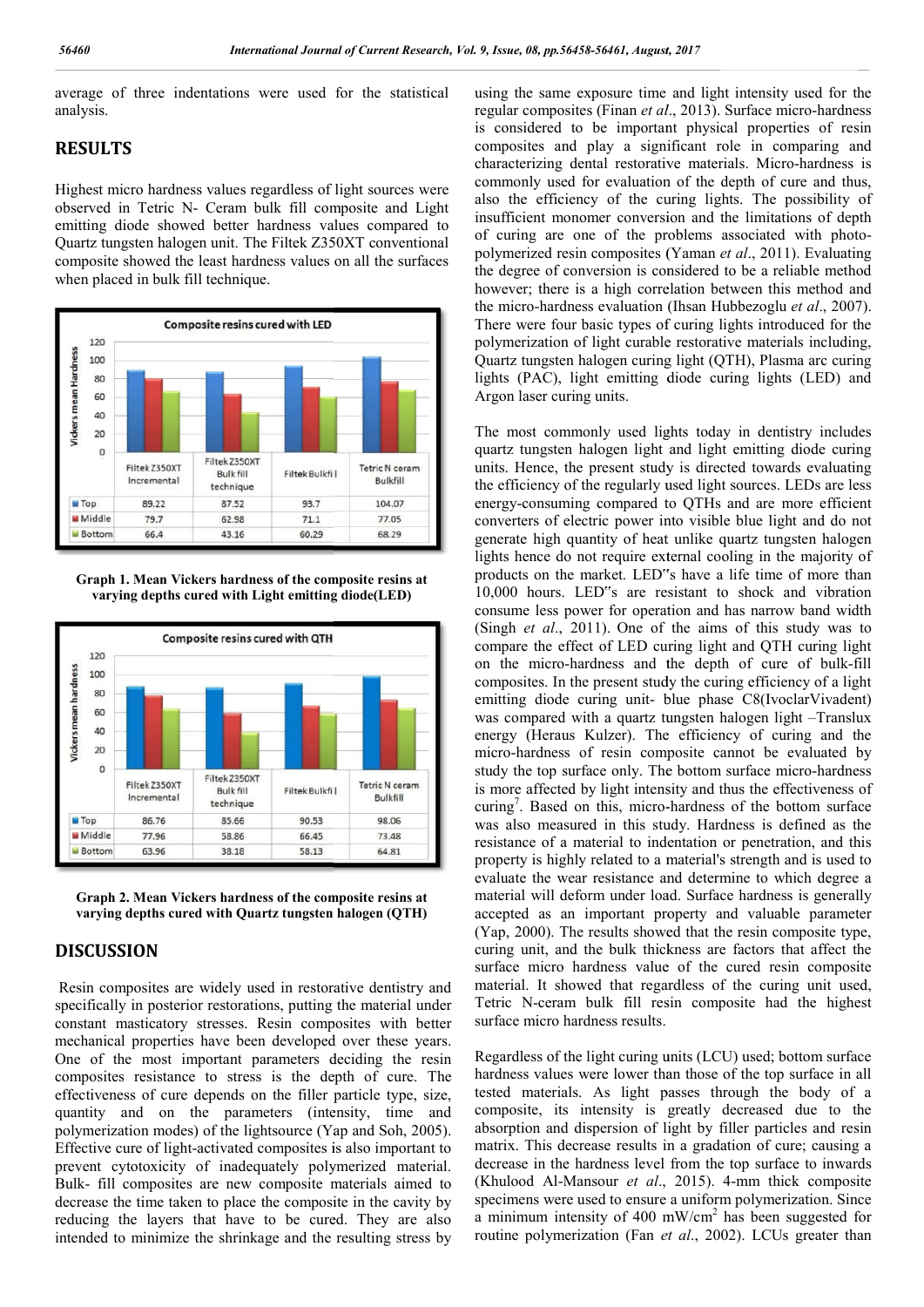average of three indentations were used for the statistical analysis.

# **RESULTS**

Highest micro hardness values regardless of light sources were observed in Tetric N- Ceram bulk fill composite and Light emitting diode showed better hardness values compared to Quartz tungsten halogen unit. The Filtek Z350XT conventional composite showed the least hardness values on all the surfaces when placed in bulk fill technique.



**Graph 1. Mean Vickers hardness of the composite resins at varying depths cured with Light emitting diode(LED)**





# **DISCUSSION**

Resin composites are widely used in restorative dentistry and specifically in posterior restorations, putting the material under constant masticatory stresses. Resin composites with better mechanical properties have been developed over these years. One of the most important parameters deciding the resin composites resistance to stress is the depth of cure. The effectiveness of cure depends on the filler particle type, size, quantity and on the parameters (intensity, time and polymerization modes) of the lightsource (Yap and Soh, 2005) Effective cure of light-activated composites is also important to prevent cytotoxicity of inadequately polymerized material. Bulk- fill composites are new composite materials aimed to decrease the time taken to place the composite in the cavity by reducing the layers that have to be cured. They are also intended to minimize the shrinkage and the resulting stress by t masticatory stresses. Resin composites with better<br>ical properties have been developed over these years.<br>
<sup>2</sup> the most important parameters deciding the resin<br>
ites resistance to stress is the depth of cure. The<br>
eness o activated composites is also important to<br>of inadequately polymerized material.<br>are new composite materials aimed to<br>n to place the composite in the cavity by<br>hat have to be cured. They are also<br>the shrinkage and the resul using the same exposure time and light intensity used for the using the same exposure time and light intensity used for the regular composites (Finan *et al.*, 2013). Surface micro-hardness is considered to be important physical properties of resin composites and play a significant role in comparing and characterizing dental restorative materials. Micro-hardness is characterizing dental restorative materials. Micro commonly used for evaluation of the depth of cure and thus, also the efficiency of the curing lights. The possibility of insufficient monomer conversion and the limitations of depth commonly used for evaluation of the depth of cure and thus, also the efficiency of the curing lights. The possibility of insufficient monomer conversion and the limitations of depth of curing are one of the problems associ polymerized resin composites (Yaman *et al*., 2011). Evaluating the degree of conversion is considered to be a reliable method however; there is a high correlation between this method and the degree of conversion is considered to be a reliable method<br>however; there is a high correlation between this method and<br>the micro-hardness evaluation (Ihsan Hubbezoglu *et al.*, 2007). There were four basic types of curing lights introduced for the polymerization of light curable restorative materials including, Quartz tungsten halogen curing light (QTH), Plasma arc curing There were four basic types of curing lights introduced for the polymerization of light curable restorative materials including, Quartz tungsten halogen curing light (QTH), Plasma arc curing lights (PAC), light emitting di Argon laser curing units.

The most commonly used lights today in dentistry includes quartz tungsten halogen light and light emitting diode curing units. Hence, the present study is directed towards evaluating the efficiency of the regularly used light sources. LEDs are less energy-consuming compared to QTHs and are more efficient converters of electric power into visible blue light and do not generate high quantity of heat unlike quartz tungsten halogen energy-consuming compared to QTHs and are more efficient converters of electric power into visible blue light and do not generate high quantity of heat unlike quartz tungsten halogen lights hence do not require external co products on the market. LED"s have a life time of more than 10,000 hours. LED"s are resistant to shock and vibration consume less power for operation and has narrow band width products on the market. LED"s have a life time of more than 10,000 hours. LED"s are resistant to shock and vibration consume less power for operation and has narrow band width (Singh *et al.*, 2011). One of the aims of thi compare the effect of LED curing light and QTH curing light on the micro-hardness and the depth of cure of bulk-fill composites. In the present study the curing efficiency of a light emitting diode curing unit- blue phase C8(IvoclarVivadent) emitting diode curing unit- blue phase C8(IvoclarVivadent) was compared with a quartz tungsten halogen light -Translux energy (Heraus Kulzer). The efficiency of curing and the micro-hardness of resin composite cannot be evaluated by energy (Heraus Kulzer). The efficiency of curing and the micro-hardness of resin composite cannot be evaluated by study the top surface only. The bottom surface micro-hardness is more affected by light intensity and thus the effectiveness of is more affected by light intensity and thus the effectiveness of curing<sup>7</sup>. Based on this, micro-hardness of the bottom surface was also measured in this study. Hardness is defined as the resistance of a material to indentation or penetration, and this property is highly related to a material's strength and is used to evaluate the wear resistance and determine to which degree a material will deform under load. Surface hardness is generally accepted as an important property and valuable parameter (Yap, 2000). The results showed that the resin composite type, curing unit, and the bulk thickness are factors that affect the surface micro hardness value of the cured resin composite material. It showed that regardless of the curing unit used, Tetric N-ceram bulk fill resin composite had the highest surface micro hardness results. quartz tungsten halogen light and light emitting diode curing<br>units. Hence, the present study is directed towards evaluating<br>the efficiency of the regularly used light sources. LEDs are less of a material to indentation or penetration, and this s highly related to a material's strength and is used to he wear resistance and determine to which degree a will deform under load. Surface hardness is generally as an

Regardless of the light curing units (LCU) used; bottom surface hardness values were lower than those of the top surface in all tested materials. As light passes through the body of a composite, its intensity is greatly decreased due to the absorption and dispersion of light by filler particles and resin matrix. This decrease results in a gradation of cure; causing a decrease in the hardness level from the top surface to inwards (Khulood Al-Mansour *et al*., 2015) specimens were used to ensure a uniform polymerization. Since a minimum intensity of 400 mW/cm<sup>2</sup> has been suggested for routine polymerization (Fan et al., 2002). LCUs greater than hardness values were lower than those of the top surface in all tested materials. As light passes through the body of a composite, its intensity is greatly decreased due to the absorption and dispersion of light by filler